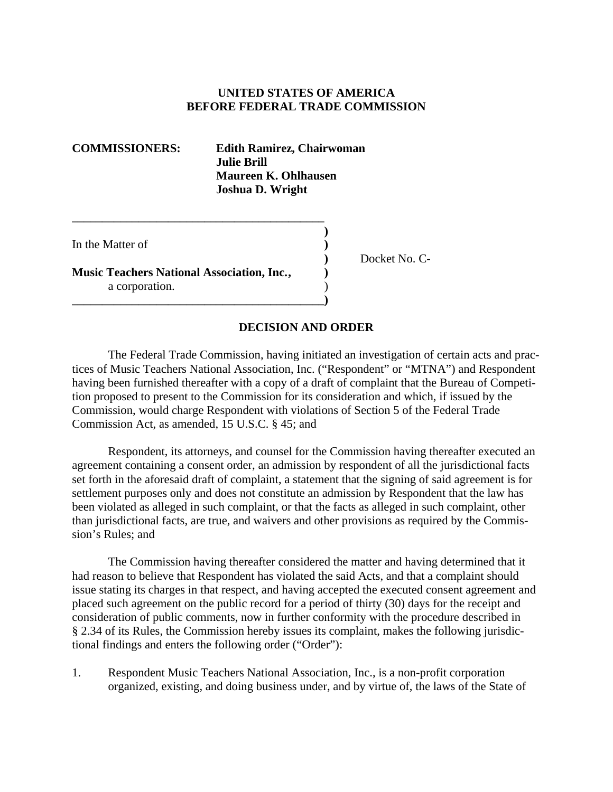## **UNITED STATES OF AMERICA BEFORE FEDERAL TRADE COMMISSION**

**COMMISSIONERS: Edith Ramirez, Chairwoman Julie Brill Maureen K. Ohlhausen Joshua D. Wright**

In the Matter of

**Music Teachers National Association, Inc. , )** a corporation. **\_\_\_\_\_\_\_\_\_\_\_\_\_\_\_\_\_\_\_\_\_\_\_\_\_\_\_\_\_\_\_\_\_\_\_\_\_\_\_\_\_\_)** 

**\_\_\_\_\_\_\_\_\_\_\_\_\_\_\_\_\_\_\_\_\_\_\_\_\_\_\_\_\_\_\_\_\_\_\_\_\_\_\_\_\_\_ )** 

 **)** Docket No. C-

#### **DECISION AND ORDER**

The Federal Trade Commission, having initiated an investigation of certain acts and practices of Music Teachers National Association, Inc. ("Respondent" or "MTNA") and Respondent having been furnished thereafter with a copy of a draft of complaint that the Bureau of Competition proposed to present to the Commission for its consideration and which, if issued by the Commission, would charge Respondent with violations of Section 5 of the Federal Trade Commission Act, as amended, 15 U.S.C. § 45; and

Respondent, its attorneys, and counsel for the Commission having thereafter executed an agreement containing a consent order, an admission by respondent of all the jurisdictional facts set forth in the aforesaid draft of complaint, a statement that the signing of said agreement is for settlement purposes only and does not constitute an admission by Respondent that the law has been violated as alleged in such complaint, or that the facts as alleged in such complaint, other than jurisdictional facts, are true, and waivers and other provisions as required by the Commission's Rules; and

The Commission having thereafter considered the matter and having determined that it had reason to believe that Respondent has violated the said Acts, and that a complaint should issue stating its charges in that respect, and having accepted the executed consent agreement and placed such agreement on the public record for a period of thirty (30) days for the receipt and consideration of public comments, now in further conformity with the procedure described in § 2.34 of its Rules, the Commission hereby issues its complaint, makes the following jurisdictional findings and enters the following order ("Order"):

1. Respondent Music Teachers National Association, Inc., is a non-profit corporation organized, existing, and doing business under, and by virtue of, the laws of the State of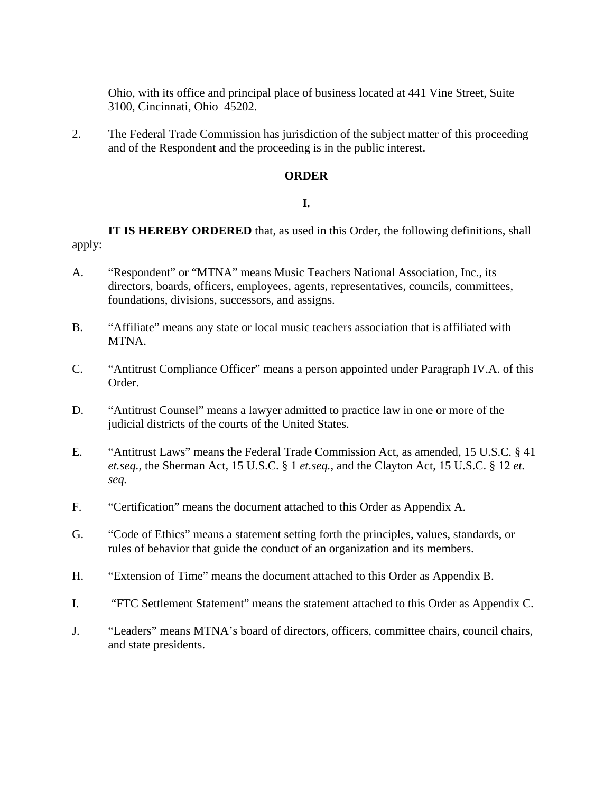Ohio, with its office and principal place of business located at 441 Vine Street, Suite 3100, Cincinnati, Ohio 45202.

2. The Federal Trade Commission has jurisdiction of the subject matter of this proceeding and of the Respondent and the proceeding is in the public interest.

### **ORDER**

## **I.**

**IT IS HEREBY ORDERED** that, as used in this Order, the following definitions, shall apply:

- A. "Respondent" or "MTNA" means Music Teachers National Association, Inc., its directors, boards, officers, employees, agents, representatives, councils, committees, foundations, divisions, successors, and assigns.
- B. "Affiliate" means any state or local music teachers association that is affiliated with MTNA.
- C. "Antitrust Compliance Officer" means a person appointed under Paragraph IV.A. of this Order.
- D. "Antitrust Counsel" means a lawyer admitted to practice law in one or more of the judicial districts of the courts of the United States.
- E. "Antitrust Laws" means the Federal Trade Commission Act, as amended, 15 U.S.C. § 41 *et.seq.*, the Sherman Act, 15 U.S.C. § 1 *et.seq.*, and the Clayton Act, 15 U.S.C. § 12 *et. seq.*
- F. "Certification" means the document attached to this Order as Appendix A.
- G. "Code of Ethics" means a statement setting forth the principles, values, standards, or rules of behavior that guide the conduct of an organization and its members.
- H. "Extension of Time" means the document attached to this Order as Appendix B.
- I. "FTC Settlement Statement" means the statement attached to this Order as Appendix C.
- J. "Leaders" means MTNA's board of directors, officers, committee chairs, council chairs, and state presidents.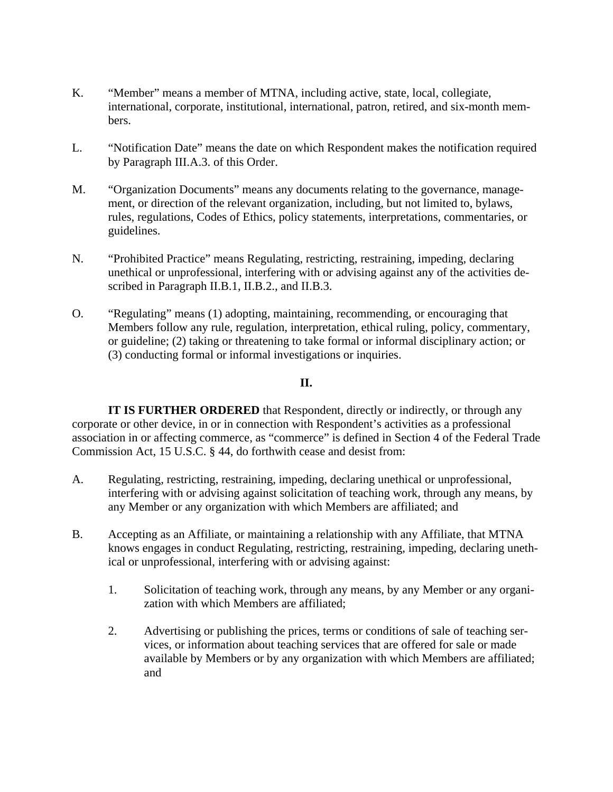- K. "Member" means a member of MTNA, including active, state, local, collegiate, international, corporate, institutional, international, patron, retired, and six-month members.
- L. "Notification Date" means the date on which Respondent makes the notification required by Paragraph III.A.3. of this Order.
- M. "Organization Documents" means any documents relating to the governance, management, or direction of the relevant organization, including, but not limited to, bylaws, rules, regulations, Codes of Ethics, policy statements, interpretations, commentaries, or guidelines.
- N. "Prohibited Practice" means Regulating, restricting, restraining, impeding, declaring unethical or unprofessional, interfering with or advising against any of the activities described in Paragraph II.B.1, II.B.2., and II.B.3.
- O. "Regulating" means (1) adopting, maintaining, recommending, or encouraging that Members follow any rule, regulation, interpretation, ethical ruling, policy, commentary, or guideline; (2) taking or threatening to take formal or informal disciplinary action; or (3) conducting formal or informal investigations or inquiries.

### **II.**

**IT IS FURTHER ORDERED** that Respondent, directly or indirectly, or through any corporate or other device, in or in connection with Respondent's activities as a professional association in or affecting commerce, as "commerce" is defined in Section 4 of the Federal Trade Commission Act, 15 U.S.C. § 44, do forthwith cease and desist from:

- A. Regulating, restricting, restraining, impeding, declaring unethical or unprofessional, interfering with or advising against solicitation of teaching work, through any means, by any Member or any organization with which Members are affiliated; and
- B. Accepting as an Affiliate, or maintaining a relationship with any Affiliate, that MTNA knows engages in conduct Regulating, restricting, restraining, impeding, declaring unethical or unprofessional, interfering with or advising against:
	- 1. Solicitation of teaching work, through any means, by any Member or any organization with which Members are affiliated;
	- 2. Advertising or publishing the prices, terms or conditions of sale of teaching services, or information about teaching services that are offered for sale or made available by Members or by any organization with which Members are affiliated; and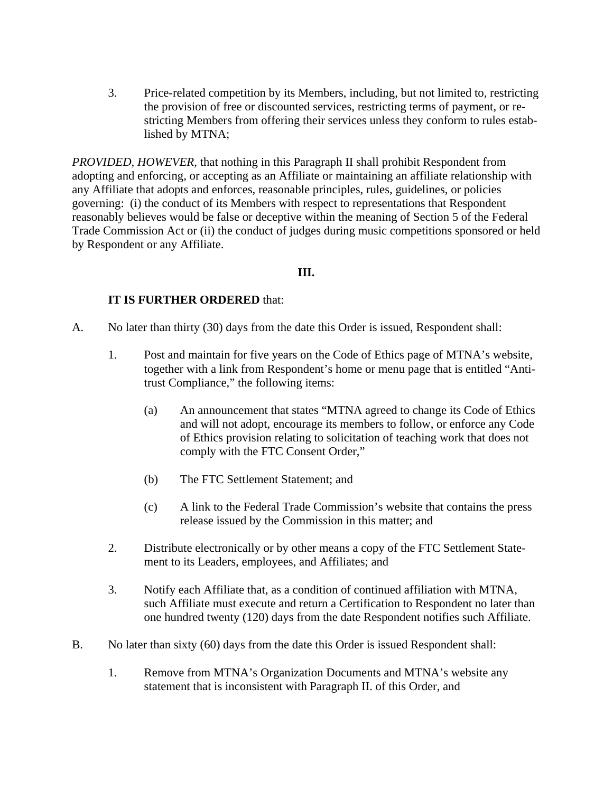3. Price-related competition by its Members, including, but not limited to, restricting the provision of free or discounted services, restricting terms of payment, or restricting Members from offering their services unless they conform to rules established by MTNA;

*PROVIDED, HOWEVER,* that nothing in this Paragraph II shall prohibit Respondent from adopting and enforcing, or accepting as an Affiliate or maintaining an affiliate relationship with any Affiliate that adopts and enforces, reasonable principles, rules, guidelines, or policies governing: (i) the conduct of its Members with respect to representations that Respondent reasonably believes would be false or deceptive within the meaning of Section 5 of the Federal Trade Commission Act or (ii) the conduct of judges during music competitions sponsored or held by Respondent or any Affiliate.

## **III.**

# **IT IS FURTHER ORDERED** that:

- A. No later than thirty (30) days from the date this Order is issued, Respondent shall:
	- 1. Post and maintain for five years on the Code of Ethics page of MTNA's website, together with a link from Respondent's home or menu page that is entitled "Antitrust Compliance," the following items:
		- (a) An announcement that states "MTNA agreed to change its Code of Ethics and will not adopt, encourage its members to follow, or enforce any Code of Ethics provision relating to solicitation of teaching work that does not comply with the FTC Consent Order,"
		- (b) The FTC Settlement Statement; and
		- (c) A link to the Federal Trade Commission's website that contains the press release issued by the Commission in this matter; and
	- 2. Distribute electronically or by other means a copy of the FTC Settlement Statement to its Leaders, employees, and Affiliates; and
	- 3. Notify each Affiliate that, as a condition of continued affiliation with MTNA, such Affiliate must execute and return a Certification to Respondent no later than one hundred twenty (120) days from the date Respondent notifies such Affiliate.
- B. No later than sixty (60) days from the date this Order is issued Respondent shall:
	- 1. Remove from MTNA's Organization Documents and MTNA's website any statement that is inconsistent with Paragraph II. of this Order, and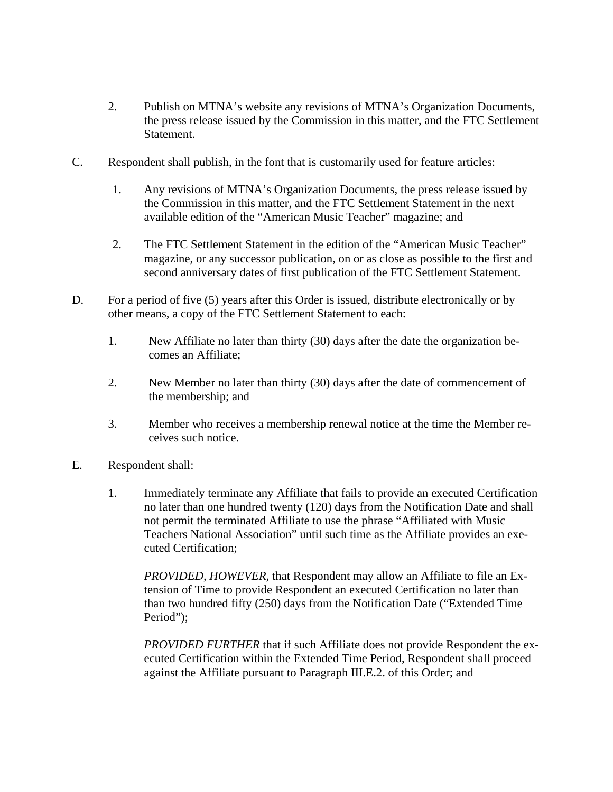- 2. Publish on MTNA's website any revisions of MTNA's Organization Documents, the press release issued by the Commission in this matter, and the FTC Settlement Statement.
- C. Respondent shall publish, in the font that is customarily used for feature articles:
	- 1. Any revisions of MTNA's Organization Documents, the press release issued by the Commission in this matter, and the FTC Settlement Statement in the next available edition of the "American Music Teacher" magazine; and
	- 2. The FTC Settlement Statement in the edition of the "American Music Teacher" magazine, or any successor publication, on or as close as possible to the first and second anniversary dates of first publication of the FTC Settlement Statement.
- D. For a period of five (5) years after this Order is issued, distribute electronically or by other means, a copy of the FTC Settlement Statement to each:
	- 1. New Affiliate no later than thirty (30) days after the date the organization becomes an Affiliate;
	- 2. New Member no later than thirty (30) days after the date of commencement of the membership; and
	- 3. Member who receives a membership renewal notice at the time the Member receives such notice.
- E. Respondent shall:
	- 1. Immediately terminate any Affiliate that fails to provide an executed Certification no later than one hundred twenty (120) days from the Notification Date and shall not permit the terminated Affiliate to use the phrase "Affiliated with Music Teachers National Association" until such time as the Affiliate provides an executed Certification;

*PROVIDED, HOWEVER,* that Respondent may allow an Affiliate to file an Extension of Time to provide Respondent an executed Certification no later than than two hundred fifty (250) days from the Notification Date ("Extended Time Period");

*PROVIDED FURTHER* that if such Affiliate does not provide Respondent the executed Certification within the Extended Time Period, Respondent shall proceed against the Affiliate pursuant to Paragraph III.E.2. of this Order; and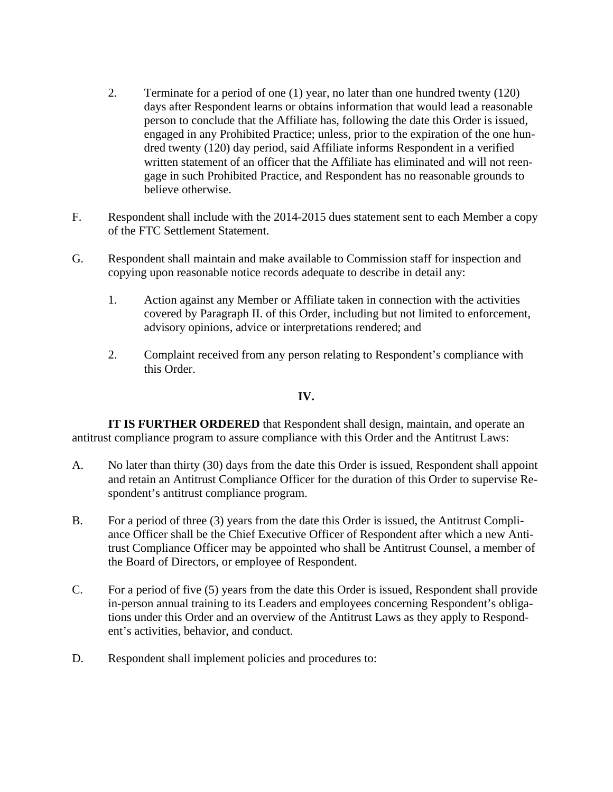- 2. Terminate for a period of one (1) year, no later than one hundred twenty (120) days after Respondent learns or obtains information that would lead a reasonable person to conclude that the Affiliate has, following the date this Order is issued, engaged in any Prohibited Practice; unless, prior to the expiration of the one hundred twenty (120) day period, said Affiliate informs Respondent in a verified written statement of an officer that the Affiliate has eliminated and will not reengage in such Prohibited Practice, and Respondent has no reasonable grounds to believe otherwise.
- F. Respondent shall include with the 2014-2015 dues statement sent to each Member a copy of the FTC Settlement Statement.
- G. Respondent shall maintain and make available to Commission staff for inspection and copying upon reasonable notice records adequate to describe in detail any:
	- 1. Action against any Member or Affiliate taken in connection with the activities covered by Paragraph II. of this Order, including but not limited to enforcement, advisory opinions, advice or interpretations rendered; and
	- 2. Complaint received from any person relating to Respondent's compliance with this Order.

### **IV.**

**IT IS FURTHER ORDERED** that Respondent shall design, maintain, and operate an antitrust compliance program to assure compliance with this Order and the Antitrust Laws:

- A. No later than thirty (30) days from the date this Order is issued, Respondent shall appoint and retain an Antitrust Compliance Officer for the duration of this Order to supervise Respondent's antitrust compliance program.
- B. For a period of three (3) years from the date this Order is issued, the Antitrust Compliance Officer shall be the Chief Executive Officer of Respondent after which a new Antitrust Compliance Officer may be appointed who shall be Antitrust Counsel, a member of the Board of Directors, or employee of Respondent.
- C. For a period of five (5) years from the date this Order is issued, Respondent shall provide in-person annual training to its Leaders and employees concerning Respondent's obligations under this Order and an overview of the Antitrust Laws as they apply to Respondent's activities, behavior, and conduct.
- D. Respondent shall implement policies and procedures to: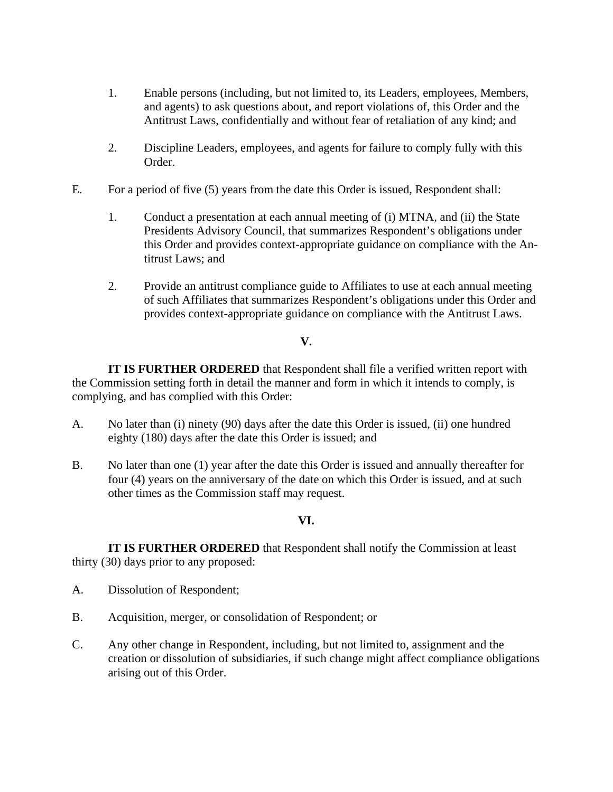- 1. Enable persons (including, but not limited to, its Leaders, employees, Members, and agents) to ask questions about, and report violations of, this Order and the Antitrust Laws, confidentially and without fear of retaliation of any kind; and
- 2. Discipline Leaders, employees, and agents for failure to comply fully with this Order.
- E. For a period of five (5) years from the date this Order is issued, Respondent shall:
	- 1. Conduct a presentation at each annual meeting of (i) MTNA, and (ii) the State Presidents Advisory Council, that summarizes Respondent's obligations under this Order and provides context-appropriate guidance on compliance with the Antitrust Laws; and
	- 2. Provide an antitrust compliance guide to Affiliates to use at each annual meeting of such Affiliates that summarizes Respondent's obligations under this Order and provides context-appropriate guidance on compliance with the Antitrust Laws.

# **V.**

**IT IS FURTHER ORDERED** that Respondent shall file a verified written report with the Commission setting forth in detail the manner and form in which it intends to comply, is complying, and has complied with this Order:

- A. No later than (i) ninety (90) days after the date this Order is issued, (ii) one hundred eighty (180) days after the date this Order is issued; and
- B. No later than one (1) year after the date this Order is issued and annually thereafter for four (4) years on the anniversary of the date on which this Order is issued, and at such other times as the Commission staff may request.

### **VI.**

**IT IS FURTHER ORDERED** that Respondent shall notify the Commission at least thirty (30) days prior to any proposed:

- A. Dissolution of Respondent;
- B. Acquisition, merger, or consolidation of Respondent; or
- C. Any other change in Respondent, including, but not limited to, assignment and the creation or dissolution of subsidiaries, if such change might affect compliance obligations arising out of this Order.